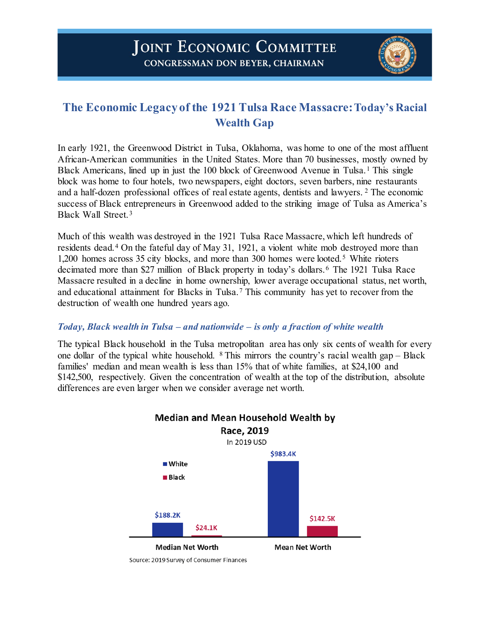

# **The Economic Legacy of the 1921 Tulsa Race Massacre: Today's Racial Wealth Gap**

In early 1921, the Greenwood District in Tulsa, Oklahoma, was home to one of the most affluent African-American communities in the United States. More than 70 businesses, mostly owned by Black Americans, lined up in just the [1](#page-3-0)00 block of Greenwood Avenue in Tulsa.<sup>1</sup> This single block was home to four hotels, two newspapers, eight doctors, seven barbers, nine restaurants and a half-dozen professional offices of real estate agents, dentists and lawyers. [2](#page-3-1) The economic success of Black entrepreneurs in Greenwood added to the striking image of Tulsa as America's Black Wall Street. [3](#page-3-2)

Much of this wealth was destroyed in the 1921 Tulsa Race Massacre, which left hundreds of residents dead.[4](#page-3-3) On the fateful day of May 31, 1921, a violent white mob destroyed more than 1,200 homes across 3[5](#page-3-4) city blocks, and more than 300 homes were looted.<sup>5</sup> White rioters decimated more than \$27 million of Black property in today's dollars.<sup>[6](#page-3-5)</sup> The 1921 Tulsa Race Massacre resulted in a decline in home ownership, lower average occupational status, net worth, and educational attainment for Blacks in Tulsa.[7](#page-3-6) This community has yet to recover from the destruction of wealth one hundred years ago.

## *Today, Black wealth in Tulsa – and nationwide – is only a fraction of white wealth*

The typical Black household in the Tulsa metropolitan area has only six cents of wealth for every one dollar of the typical white household.  $8$  This mirrors the country's racial wealth gap – Black families' median and mean wealth is less than 15% that of white families, at \$24,100 and \$142,500, respectively. Given the concentration of wealth at the top of the distribution, absolute differences are even larger when we consider average net worth.

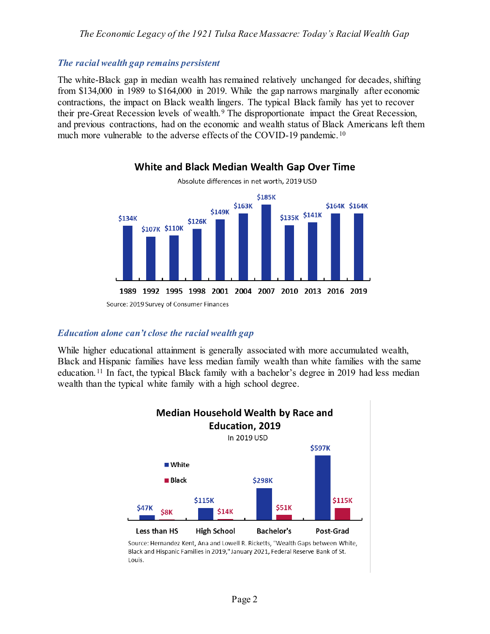### *The Economic Legacy of the 1921 Tulsa Race Massacre: Today's Racial Wealth Gap*

#### *The racial wealth gap remains persistent*

The white-Black gap in median wealth has remained relatively unchanged for decades, shifting from \$134,000 in 1989 to \$164,000 in 2019. While the gap narrows marginally after economic contractions, the impact on Black wealth lingers. The typical Black family has yet to recover their pre-Great Recession levels of wealth.<sup>[9](#page-3-8)</sup> The disproportionate impact the Great Recession, and previous contractions, had on the economic and wealth status of Black Americans left them much more vulnerable to the adverse effects of the COVID-19 pandemic.<sup>[10](#page-3-9)</sup>

White and Black Median Wealth Gap Over Time



# Source: 2019 Survey of Consumer Finances

#### *Education alone can't close the racial wealth gap*

While higher educational attainment is generally associated with more accumulated wealth, Black and Hispanic families have less median family wealth than white families with the same education.[11](#page-3-10) In fact, the typical Black family with a bachelor's degree in 2019 had less median wealth than the typical white family with a high school degree.



Source: Hernandez Kent, Ana and Lowell R. Ricketts, "Wealth Gaps between White, Black and Hispanic Families in 2019," January 2021, Federal Reserve Bank of St. Louis.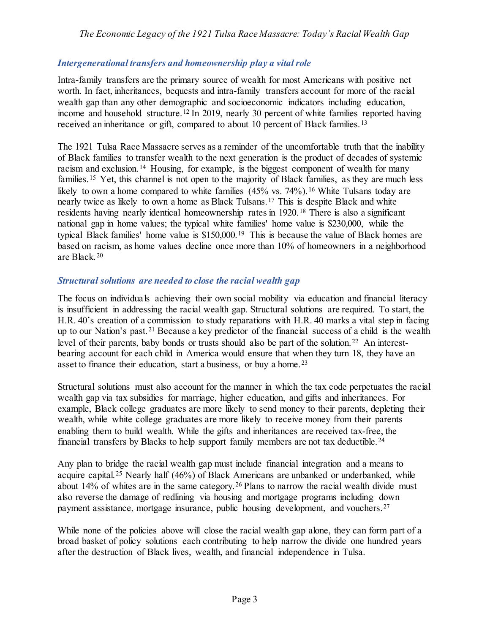# *Intergenerational transfers and homeownership play a vital role*

Intra-family transfers are the primary source of wealth for most Americans with positive net worth. In fact, inheritances, bequests and intra-family transfers account for more of the racial wealth gap than any other demographic and socioeconomic indicators including education, income and household structure.<sup>[12](#page-3-11)</sup> In 2019, nearly 30 percent of white families reported having received an inheritance or gift, compared to about 10 percent of Black families.<sup>[13](#page-3-12)</sup>

The 1921 Tulsa Race Massacre serves as a reminder of the uncomfortable truth that the inability of Black families to transfer wealth to the next generation is the product of decades of systemic racism and exclusion.<sup>[14](#page-3-13)</sup> Housing, for example, is the biggest component of wealth for many families. <sup>[15](#page-3-14)</sup> Yet, this channel is not open to the majority of Black families, as they are much less likely to own a home compared to white families (45% vs. 74%).<sup>[16](#page-3-15)</sup> White Tulsans today are nearly twice as likely to own a home as Black Tulsans.[17](#page-3-16) This is despite Black and white residents having nearly identical homeownership rates in 1920.<sup>[18](#page-4-0)</sup> There is also a significant national gap in home values; the typical white families' home value is \$230,000, while the typical Black families' home value is \$150,000.[19](#page-4-1) This is because the value of Black homes are based on racism, as home values decline once more than 10% of homeowners in a neighborhood are Black.[20](#page-4-2)

## *Structural solutions are needed to close the racial wealth gap*

The focus on individuals achieving their own social mobility via education and financial literacy is insufficient in addressing the racial wealth gap. Structural solutions are required. To start, the H.R. 40's creation of a commission to study reparations with H.R. 40 marks a vital step in facing up to our Nation's past.[21](#page-4-3) Because a key predictor of the financial success of a child is the wealth level of their parents, baby bonds or trusts should also be part of the solution.<sup>[22](#page-4-4)</sup> An interestbearing account for each child in America would ensure that when they turn 18, they have an asset to finance their education, start a business, or buy a home.<sup>[23](#page-4-5)</sup>

Structural solutions must also account for the manner in which the tax code perpetuates the racial wealth gap via tax subsidies for marriage, higher education, and gifts and inheritances. For example, Black college graduates are more likely to send money to their parents, depleting their wealth, while white college graduates are more likely to receive money from their parents enabling them to build wealth. While the gifts and inheritances are received tax-free, the financial transfers by Blacks to help support family members are not tax deductible. [24](#page-4-6)

Any plan to bridge the racial wealth gap must include financial integration and a means to acquire capital.[25](#page-4-7) Nearly half (46%) of Black Americans are unbanked or underbanked, while about 14% of whites are in the same category.[26](#page-4-8) Plans to narrow the racial wealth divide must also reverse the damage of redlining via housing and mortgage programs including down payment assistance, mortgage insurance, public housing development, and vouchers.[27](#page-4-9)

While none of the policies above will close the racial wealth gap alone, they can form part of a broad basket of policy solutions each contributing to help narrow the divide one hundred years after the destruction of Black lives, wealth, and financial independence in Tulsa.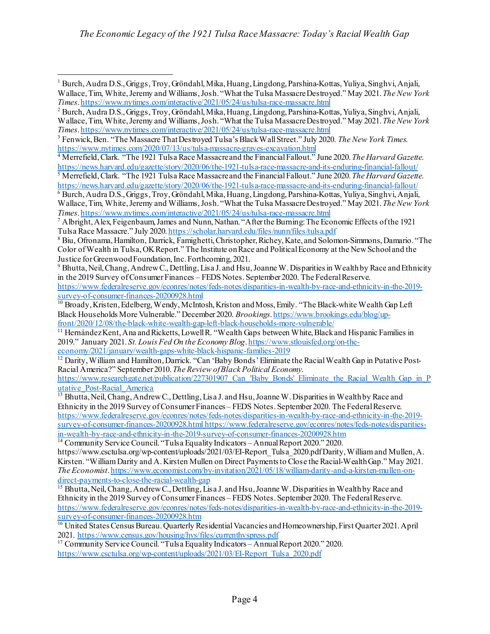$\overline{a}$ 

```
in-wealth-by-race-and-ethnicity-in-the-2019-survey-of-consumer-finances-20200928.htm 14 Community Service Council. "Tulsa Equality Indicators – Annual Report 2020." 2020.
```

```
https://www.csctulsa.org/wp-content/uploads/2021/03/EI-Report_Tulsa_2020.pdf Darity, William and Mullen, A.
Kirsten. "William Darity and A. Kirsten Mullen on Direct Payments to Close the Racial-Wealth Gap." May 2021. 
The Economist. https://www.economist.com/by-invitation/2021/05/18/william-darity-and-a-kirsten-mullen-on-<br>direct-payments-to-close-the-racial-wealth-gap
```

```
<sup>15</sup> Bhutta, Neil, Chang, Andrew C., Dettling, Lisa J. and Hsu, Joanne W. Disparities in Wealth by Race and
Ethnicity in the 2019 Survey of Consumer Finances – FEDS Notes. September 2020. The Federal Reserve. 
https://www.federalreserve.gov/econres/notes/feds-notes/disparities-in-wealth-by-race-and-ethnicity-in-the-2019-
```

```
<sup>16</sup> United States Census Bureau. Quarterly Residential Vacancies and Homeownership, First Quarter 2021. April 2021. https://www.census.gov/housing/hvs/files/currenthyspress.pdf
```
<span id="page-3-16"></span><sup>17</sup> Community Service Council. "Tulsa Equality Indicators – Annual Report 2020." 2020. [https://www.csctulsa.org/wp-content/uploads/2021/03/EI-Report\\_Tulsa\\_2020.pdf](https://www.csctulsa.org/wp-content/uploads/2021/03/EI-Report_Tulsa_2020.pdf)

<span id="page-3-0"></span><sup>1</sup> Burch, Audra D.S., Griggs, Troy, Gröndahl, Mika, Huang, Lingdong, Parshina-Kottas, Yuliya, Singhvi, Anjali, Wallace, Tim, White, Jeremy and Williams, Josh. "What the Tulsa Massacre Destroyed." May 2021. *The New York Times*[. https://www.nytimes.com/interactive/2021/05/24/us/tulsa-race-massacre.html](https://www.nytimes.com/interactive/2021/05/24/us/tulsa-race-massacre.html)

<span id="page-3-1"></span><sup>2</sup> Burch, Audra D.S., Griggs, Troy, Gröndahl, Mika, Huang, Lingdong, Parshina-Kottas, Yuliya, Singhvi, Anjali, Wallace, Tim, White, Jeremy and Williams, Josh. "What the Tulsa Massacre Destroyed." May 2021. *The New York Times*[. https://www.nytimes.com/interactive/2021/05/24/us/tulsa-race-massacre.html](https://www.nytimes.com/interactive/2021/05/24/us/tulsa-race-massacre.html)

<span id="page-3-2"></span><sup>3</sup> Fenwick, Ben. "The Massacre That Destroyed Tulsa's Black Wall Street." July 2020. *The New York Times*. <https://www.nytimes.com/2020/07/13/us/tulsa-massacre-graves-excavation.html> <sup>4</sup> Merrefield, Clark. "The 1921 Tulsa Race Massacre and the Financial Fallout." June 2020. *The Harvard Gazette*.

<span id="page-3-4"></span><span id="page-3-3"></span><https://news.harvard.edu/gazette/story/2020/06/the-1921-tulsa-race-massacre-and-its-enduring-financial-fallout/><br>
<sup>5</sup> Merrefield, Clark. "The 1921 Tulsa Race Massacre and the Financial Fallout." June 2020. *The Harvard Gaze* 

<span id="page-3-5"></span> $\overline{6}$ Burch, Audra D.S., Griggs, Troy, Gröndahl, Mika, Huang, Lingdong, Parshina-Kottas, Yuliya, Singhvi, Anjali, Wallace, Tim, White, Jeremy and Williams, Josh. "What the Tulsa Massacre Destroyed." May 2021. *The New York* 

<span id="page-3-6"></span><sup>&</sup>lt;sup>7</sup> Albright, Alex, Feigenbaum, James and Nunn, Nathan. "After the Burning: The Economic Effects of the 1921 Tulsa Race Massacre." July 2020[. https://scholar.harvard.edu/files/nunn/files/tulsa.pdf](https://scholar.harvard.edu/files/nunn/files/tulsa.pdf)

<span id="page-3-7"></span><sup>8</sup> Biu, Ofronama, Hamilton, Darrick, Famighetti, Christopher, Richey, Kate, and Solomon-Simmons, Damario. "The Color of Wealth in Tulsa, OK Report." The Institute on Race and Political Economy at the New School and the Justice for Greenwood Foundation, Inc. Forthcoming, 2021.<br><sup>9</sup> Bhutta, Neil, Chang, Andrew C., Dettling, Lisa J. and Hsu, Joanne W. Disparities in Wealth by Race and Ethnicity

<span id="page-3-8"></span>in the 2019 Survey of Consumer Finances – FEDS Notes. September 2020. The Federal Reserve. [https://www.federalreserve.gov/econres/notes/feds-notes/disparities-in-wealth-by-race-and-ethnicity-in-the-2019-](https://www.federalreserve.gov/econres/notes/feds-notes/disparities-in-wealth-by-race-and-ethnicity-in-the-2019-survey-of-consumer-finances-20200928.html)

<span id="page-3-9"></span><sup>&</sup>lt;sup>10</sup> Broady, Kristen, Edelberg, Wendy, McIntosh, Kriston and Moss, Emily. "The Black-white Wealth Gap Left Black Households More Vulnerable." December 2020. *Brookings*[. https://www.brookings.edu/blog/up](https://www.brookings.edu/blog/up-front/2020/12/08/the-black-white-wealth-gap-left-black-households-more-vulnerable/)[front/2020/12/08/the-black-white-wealth-gap-left-black-households-more-vulnerable/](https://www.brookings.edu/blog/up-front/2020/12/08/the-black-white-wealth-gap-left-black-households-more-vulnerable/)

<span id="page-3-10"></span> $\frac{11}{11}$  Hernández Kent, Ana and Ricketts, Lowell R. "Wealth Gaps between White, Black and Hispanic Families in 2019." January 2021. *St. Louis Fed On the Economy Blog*[. https://www.stlouisfed.org/on-the](https://www.stlouisfed.org/on-the-economy/2021/january/wealth-gaps-white-black-hispanic-families-2019)[economy/2021/january/wealth-gaps-white-black-hispanic-families-2019](https://www.stlouisfed.org/on-the-economy/2021/january/wealth-gaps-white-black-hispanic-families-2019)

<span id="page-3-11"></span><sup>&</sup>lt;sup>12</sup> Darity, William and Hamilton, Darrick. "Can 'Baby Bonds' Eliminate the Racial Wealth Gap in Putative Post-Racial America?" September 2010. *The Review of Black Political Economy*.

https://www.researchgate.net/publication/227301907 Can 'Baby Bonds' Eliminate the Racial Wealth Gap in P

<span id="page-3-12"></span>[utative\\_Post-Racial\\_America](https://www.researchgate.net/publication/227301907_Can_)<br><sup>13</sup> Bhutta, Neil, Chang, Andrew C., Dettling, Lisa J. and Hsu, Joanne W. Disparities in Wealth by Race and Ethnicity in the 2019 Survey of Consumer Finances – FEDS Notes. September 2020. The Federal Reserve. [https://www.federalreserve.gov/econres/notes/feds-notes/disparities-in-wealth-by-race-and-ethnicity-in-the-2019](https://www.federalreserve.gov/econres/notes/feds-notes/disparities-in-wealth-by-race-and-ethnicity-in-the-2019-survey-of-consumer-finances-20200928.html) [survey-of-consumer-finances-20200928.html](https://www.federalreserve.gov/econres/notes/feds-notes/disparities-in-wealth-by-race-and-ethnicity-in-the-2019-survey-of-consumer-finances-20200928.html) https://www.federalreserve.gov/econres/notes/feds-notes/disparities-